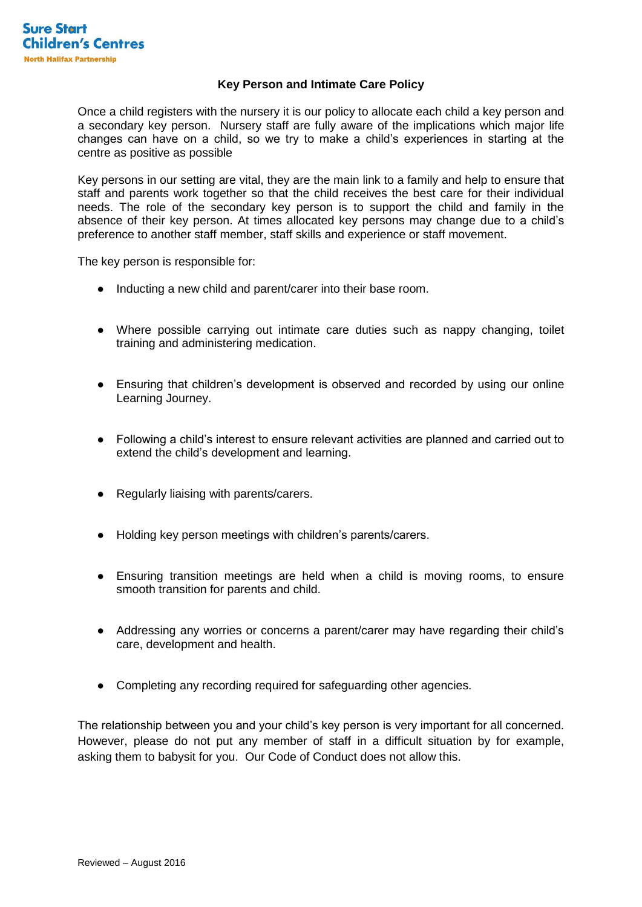## **Key Person and Intimate Care Policy**

Once a child registers with the nursery it is our policy to allocate each child a key person and a secondary key person. Nursery staff are fully aware of the implications which major life changes can have on a child, so we try to make a child's experiences in starting at the centre as positive as possible

Key persons in our setting are vital, they are the main link to a family and help to ensure that staff and parents work together so that the child receives the best care for their individual needs. The role of the secondary key person is to support the child and family in the absence of their key person. At times allocated key persons may change due to a child's preference to another staff member, staff skills and experience or staff movement.

The key person is responsible for:

- Inducting a new child and parent/carer into their base room.
- Where possible carrying out intimate care duties such as nappy changing, toilet training and administering medication.
- Ensuring that children's development is observed and recorded by using our online Learning Journey.
- Following a child's interest to ensure relevant activities are planned and carried out to extend the child's development and learning.
- Regularly liaising with parents/carers.
- Holding key person meetings with children's parents/carers.
- Ensuring transition meetings are held when a child is moving rooms, to ensure smooth transition for parents and child.
- Addressing any worries or concerns a parent/carer may have regarding their child's care, development and health.
- Completing any recording required for safeguarding other agencies.

The relationship between you and your child's key person is very important for all concerned. However, please do not put any member of staff in a difficult situation by for example, asking them to babysit for you. Our Code of Conduct does not allow this.